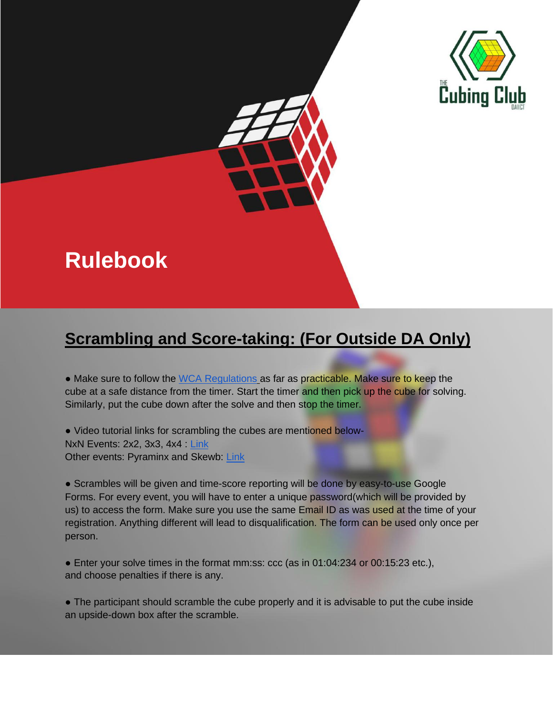

# **Rulebook**

## **Scrambling and Score-taking: (For Outside DA Only)**

• Make sure to follow the [WCA Regulations](https://www.worldcubeassociation.org/regulations/) as far as practicable. Make sure to keep the cube at a safe distance from the timer. Start the timer and then pick up the cube for solving. Similarly, put the cube down after the solve and then stop the timer.

• Video tutorial links for scrambling the cubes are mentioned below-NxN Events: 2x2, 3x3, 4x4 : [Link](https://www.youtube.com/watch?v=Ne_CVuaQSZE&feature=youtu.be) Other events: Pyraminx and Skewb: [Link](https://www.youtube.com/watch?v=YTT3PljGdgw&feature=youtu.be)

• Scrambles will be given and time-score reporting will be done by easy-to-use Google Forms. For every event, you will have to enter a unique password(which will be provided by us) to access the form. Make sure you use the same Email ID as was used at the time of your registration. Anything different will lead to disqualification. The form can be used only once per person.

● Enter your solve times in the format mm:ss: ccc (as in 01:04:234 or 00:15:23 etc.), and choose penalties if there is any.

• The participant should scramble the cube properly and it is advisable to put the cube inside an upside-down box after the scramble.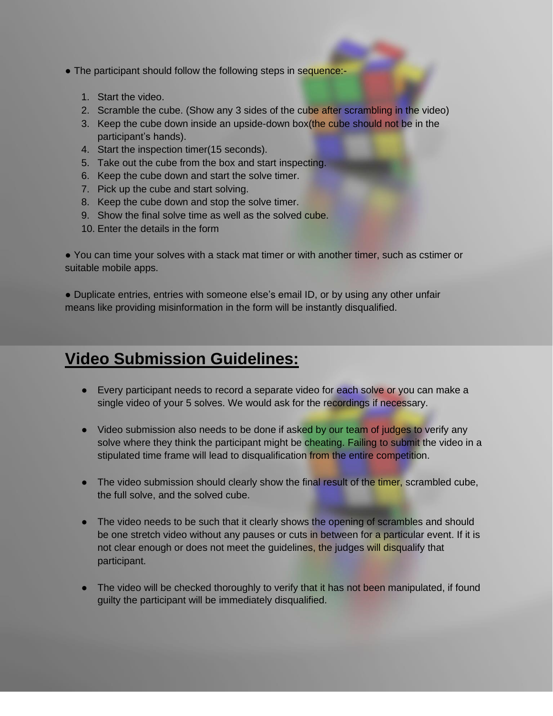- The participant should follow the following steps in sequence:-
	- 1. Start the video.
	- 2. Scramble the cube. (Show any 3 sides of the cube after scrambling in the video)
	- 3. Keep the cube down inside an upside-down box(the cube should not be in the participant's hands).
	- 4. Start the inspection timer(15 seconds).
	- 5. Take out the cube from the box and start inspecting.
	- 6. Keep the cube down and start the solve timer.
	- 7. Pick up the cube and start solving.
	- 8. Keep the cube down and stop the solve timer.
	- 9. Show the final solve time as well as the solved cube.
	- 10. Enter the details in the form

● You can time your solves with a stack mat timer or with another timer, such as cstimer or suitable mobile apps.

● Duplicate entries, entries with someone else's email ID, or by using any other unfair means like providing misinformation in the form will be instantly disqualified.

### **Video Submission Guidelines:**

- Every participant needs to record a separate video for each solve or you can make a single video of your 5 solves. We would ask for the recordings if necessary.
- Video submission also needs to be done if asked by our team of judges to verify any solve where they think the participant might be cheating. Failing to submit the video in a stipulated time frame will lead to disqualification from the entire competition.
- The video submission should clearly show the final result of the timer, scrambled cube, the full solve, and the solved cube.
- The video needs to be such that it clearly shows the opening of scrambles and should be one stretch video without any pauses or cuts in between for a particular event. If it is not clear enough or does not meet the guidelines, the judges will disqualify that participant.
- The video will be checked thoroughly to verify that it has not been manipulated, if found guilty the participant will be immediately disqualified.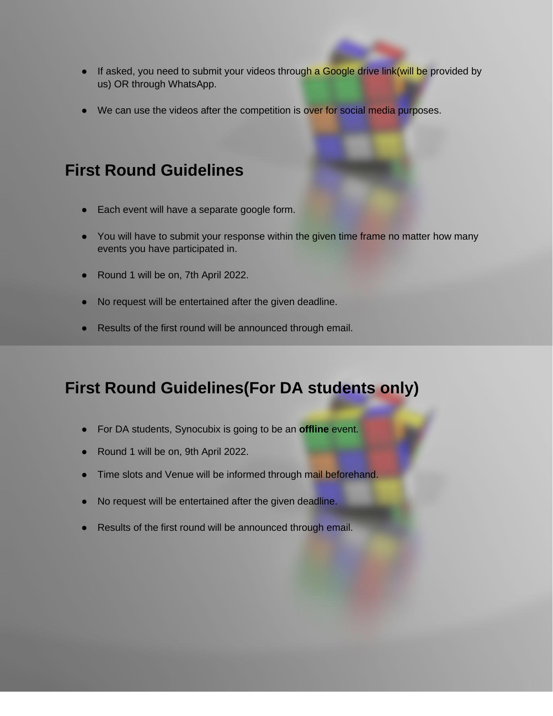- If asked, you need to submit your videos through a Google drive link(will be provided by us) OR through WhatsApp.
- We can use the videos after the competition is over for social media purposes.

### **First Round Guidelines**

- Each event will have a separate google form.
- You will have to submit your response within the given time frame no matter how many events you have participated in.
- Round 1 will be on, 7th April 2022.
- No request will be entertained after the given deadline.
- Results of the first round will be announced through email.

## **First Round Guidelines(For DA students only)**

- For DA students, Synocubix is going to be an **offline** event.
- Round 1 will be on, 9th April 2022.
- **•** Time slots and Venue will be informed through mail beforehand.
- No request will be entertained after the given deadline.
- Results of the first round will be announced through email.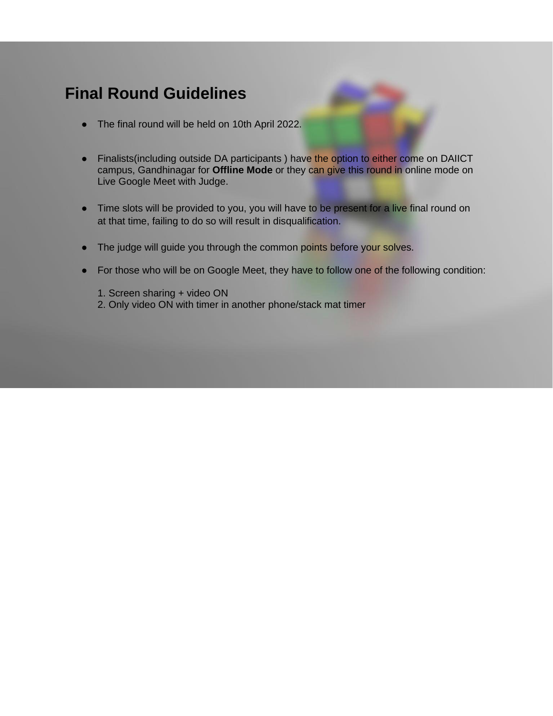#### **Final Round Guidelines**

- The final round will be held on 10th April 2022.
- Finalists (including outside DA participants) have the option to either come on DAIICT campus, Gandhinagar for **Offline Mode** or they can give this round in online mode on Live Google Meet with Judge.
- Time slots will be provided to you, you will have to be present for a live final round on at that time, failing to do so will result in disqualification.
- The judge will guide you through the common points before your solves.
- For those who will be on Google Meet, they have to follow one of the following condition:

1. Screen sharing + video ON 2. Only video ON with timer in another phone/stack mat timer